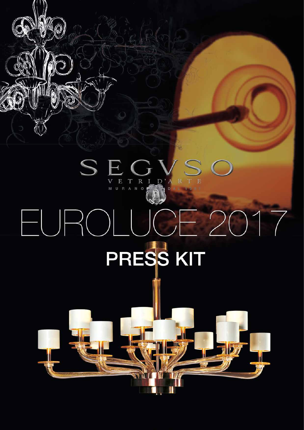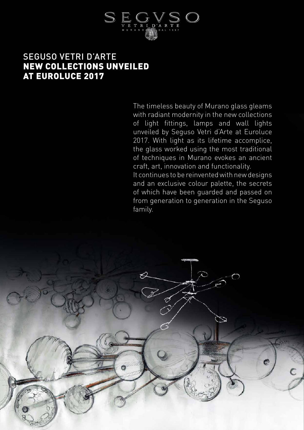

### SEGUSO VETRI D'ARTE NEW COLLECTIONS UNVEILED AT EUROLUCE 2017

The timeless beauty of Murano glass gleams with radiant modernity in the new collections of light fittings, lamps and wall lights unveiled by Seguso Vetri d'Arte at Euroluce 2017. With light as its lifetime accomplice, the glass worked using the most traditional of techniques in Murano evokes an ancient craft, art, innovation and functionality.

It continues to be reinvented with new designs and an exclusive colour palette, the secrets of which have been guarded and passed on from generation to generation in the Seguso family.

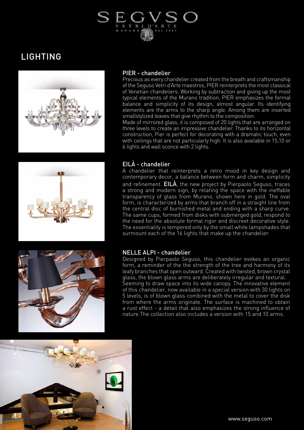# D'ART R

## LIGHTING



### PIER - chandelier

Precious as every chandelier created from the breath and craftsmanship of the Seguso Vetri d'Arte maestros, PIER reinterprets the most classical of Venetian chandeliers. Working by subtraction and giving up the most typical elements of the Murano tradition, PIER emphasizes the formal balance and simplicity of its design, almost angular. Its identifying elements are the arms to the sharp angle. Among them are inserted smallstylized leaves that give rhythm to the composition.

Made of mirrored glass, it is composed of 20 lights that are arranged on three levels to create an impressive chandelier. Thanks to its horizontal construction, Pier is perfect for decorating with a dramatic touch, even with ceilings that are not particularly high. It is also available in 15,10 or 6 lights and wall sconce with 2 lights.



### EILÀ - chandelier

A chandelier that reinterprets a retro mood in key design and contemporary decor, a balance between form and charm, simplicity and refinement. **EILA**, the new project by Pierpaolo Seguso, traces a strong and modern sign, by relating the space with the ineffable transparency of glass from Murano, shown here in gold. The oval form, is characterized by arms that branch off in a straight line from the central disc of burnished metal and ending with a sharp curve. The same cups, formed from disks with submerged gold, respond to the need for the absolute formal rigor and discreet decorative style. The essentiality is tempered only by the small white lampshades that surmount each of the 16 lights that make up the chandelier.



### NELLE ALPI - chandelier

Designed by Pierpaolo Seguso, this chandelier evokes an organic form, a reminder of the the strength of the tree and harmony of its leafy branches that open outward. Created with twisted, brown crystal glass, the blown glass arms are deliberately irregular and textural. Seeming to draw space into its wide canopy. The innovative element of this chandelier, now available in a special version with 30 lights on 5 levels, is of blown glass combined with the metal to cover the disk from where the arms originate. The surface is machined to obtain a rust effect - a detail that also emphasizes the strong influence of nature.The collection also includes a version with 15 and 10 arms.